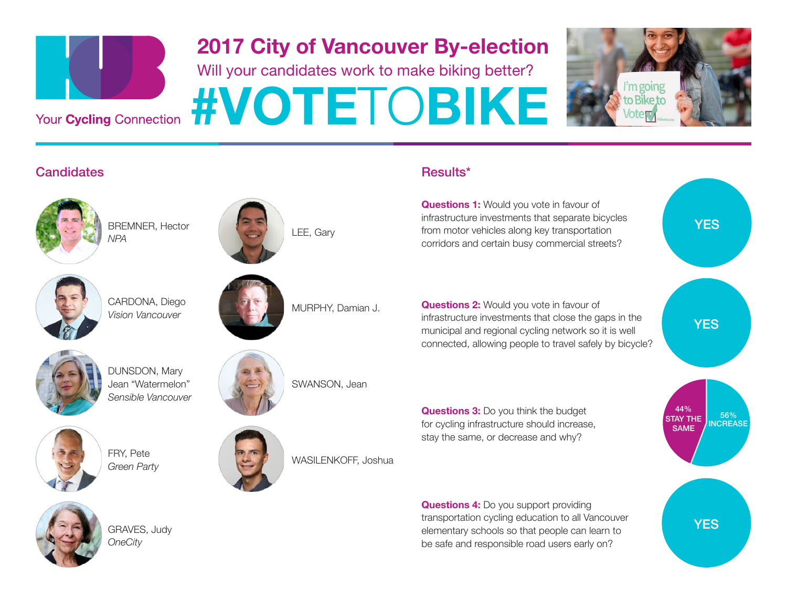

#### 2017 City of Vancouver By-election

Will your candidates work to make biking better?



BREMNER, Hector *NPA* LEE, Gary







CARDONA, Diego *Vision Vancouver*



MURPHY, Damian J.



DUNSDON, Mary Jean "Watermelon" *Sensible Vancouver*





GRAVES, Judy *OneCity*

FRY, Pete *Green Party*



SWANSON, Jean

WASILENKOFF, Joshua

#### **Candidates Results\*** Results\* Results\* Results\* Results\* Results\* Results\* Results\* Results\* Results\* Results\* Results\* Results\* Results\* Results\* Results\* Results\* Results\* Results\* Results\* Results\* Results\* Results\* Re

**Questions 1:** Would you vote in favour of infrastructure investments that separate bicycles from motor vehicles along key transportation corridors and certain busy commercial streets?

**Questions 2:** Would you vote in favour of infrastructure investments that close the gaps in the municipal and regional cycling network so it is well connected, allowing people to travel safely by bicycle?

**Questions 3:** Do you think the budget for cycling infrastructure should increase, stay the same, or decrease and why?

**Questions 4:** Do you support providing transportation cycling education to all Vancouver elementary schools so that people can learn to be safe and responsible road users early on?

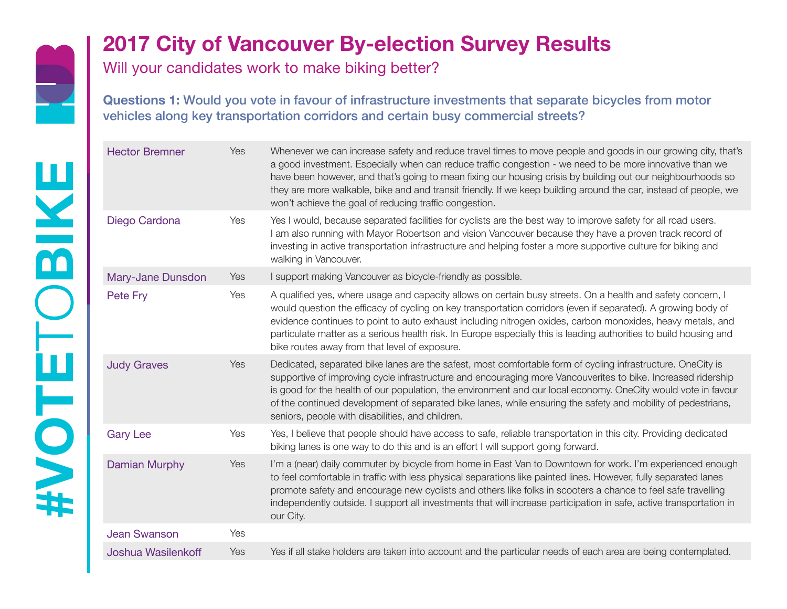

Will your candidates work to make biking better?

**Questions 1:** Would you vote in favour of infrastructure investments that separate bicycles from motor vehicles along key transportation corridors and certain busy commercial streets?

| <b>Hector Bremner</b> | Yes | Whenever we can increase safety and reduce travel times to move people and goods in our growing city, that's<br>a good investment. Especially when can reduce traffic congestion - we need to be more innovative than we<br>have been however, and that's going to mean fixing our housing crisis by building out our neighbourhoods so<br>they are more walkable, bike and and transit friendly. If we keep building around the car, instead of people, we<br>won't achieve the goal of reducing traffic congestion. |
|-----------------------|-----|-----------------------------------------------------------------------------------------------------------------------------------------------------------------------------------------------------------------------------------------------------------------------------------------------------------------------------------------------------------------------------------------------------------------------------------------------------------------------------------------------------------------------|
| Diego Cardona         | Yes | Yes I would, because separated facilities for cyclists are the best way to improve safety for all road users.<br>I am also running with Mayor Robertson and vision Vancouver because they have a proven track record of<br>investing in active transportation infrastructure and helping foster a more supportive culture for biking and<br>walking in Vancouver.                                                                                                                                                     |
| Mary-Jane Dunsdon     | Yes | I support making Vancouver as bicycle-friendly as possible.                                                                                                                                                                                                                                                                                                                                                                                                                                                           |
| Pete Fry              | Yes | A qualified yes, where usage and capacity allows on certain busy streets. On a health and safety concern, I<br>would question the efficacy of cycling on key transportation corridors (even if separated). A growing body of<br>evidence continues to point to auto exhaust including nitrogen oxides, carbon monoxides, heavy metals, and<br>particulate matter as a serious health risk. In Europe especially this is leading authorities to build housing and<br>bike routes away from that level of exposure.     |
| <b>Judy Graves</b>    | Yes | Dedicated, separated bike lanes are the safest, most comfortable form of cycling infrastructure. OneCity is<br>supportive of improving cycle infrastructure and encouraging more Vancouverites to bike. Increased ridership<br>is good for the health of our population, the environment and our local economy. OneCity would vote in favour<br>of the continued development of separated bike lanes, while ensuring the safety and mobility of pedestrians,<br>seniors, people with disabilities, and children.      |
| <b>Gary Lee</b>       | Yes | Yes, I believe that people should have access to safe, reliable transportation in this city. Providing dedicated<br>biking lanes is one way to do this and is an effort I will support going forward.                                                                                                                                                                                                                                                                                                                 |
| <b>Damian Murphy</b>  | Yes | I'm a (near) daily commuter by bicycle from home in East Van to Downtown for work. I'm experienced enough<br>to feel comfortable in traffic with less physical separations like painted lines. However, fully separated lanes<br>promote safety and encourage new cyclists and others like folks in scooters a chance to feel safe travelling<br>independently outside. I support all investments that will increase participation in safe, active transportation in<br>our City.                                     |
| <b>Jean Swanson</b>   | Yes |                                                                                                                                                                                                                                                                                                                                                                                                                                                                                                                       |
| Joshua Wasilenkoff    | Yes | Yes if all stake holders are taken into account and the particular needs of each area are being contemplated.                                                                                                                                                                                                                                                                                                                                                                                                         |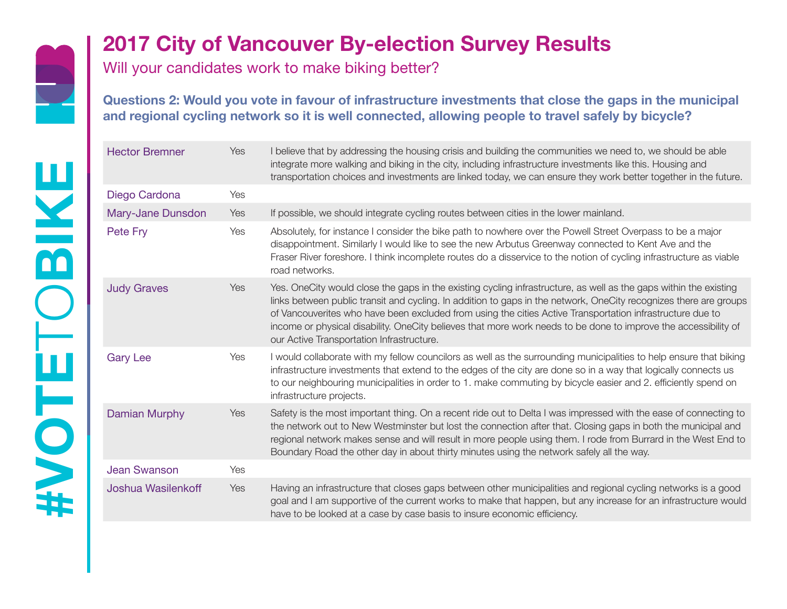

Will your candidates work to make biking better?

**Questions 2: Would you vote in favour of infrastructure investments that close the gaps in the municipal and regional cycling network so it is well connected, allowing people to travel safely by bicycle?**

| <b>Hector Bremner</b> | Yes | I believe that by addressing the housing crisis and building the communities we need to, we should be able<br>integrate more walking and biking in the city, including infrastructure investments like this. Housing and<br>transportation choices and investments are linked today, we can ensure they work better together in the future.                                                                                                                                                                         |
|-----------------------|-----|---------------------------------------------------------------------------------------------------------------------------------------------------------------------------------------------------------------------------------------------------------------------------------------------------------------------------------------------------------------------------------------------------------------------------------------------------------------------------------------------------------------------|
| Diego Cardona         | Yes |                                                                                                                                                                                                                                                                                                                                                                                                                                                                                                                     |
| Mary-Jane Dunsdon     | Yes | If possible, we should integrate cycling routes between cities in the lower mainland.                                                                                                                                                                                                                                                                                                                                                                                                                               |
| Pete Fry              | Yes | Absolutely, for instance I consider the bike path to nowhere over the Powell Street Overpass to be a major<br>disappointment. Similarly I would like to see the new Arbutus Greenway connected to Kent Ave and the<br>Fraser River foreshore. I think incomplete routes do a disservice to the notion of cycling infrastructure as viable<br>road networks.                                                                                                                                                         |
| <b>Judy Graves</b>    | Yes | Yes. OneCity would close the gaps in the existing cycling infrastructure, as well as the gaps within the existing<br>links between public transit and cycling. In addition to gaps in the network, OneCity recognizes there are groups<br>of Vancouverites who have been excluded from using the cities Active Transportation infrastructure due to<br>income or physical disability. OneCity believes that more work needs to be done to improve the accessibility of<br>our Active Transportation Infrastructure. |
| <b>Gary Lee</b>       | Yes | I would collaborate with my fellow councilors as well as the surrounding municipalities to help ensure that biking<br>infrastructure investments that extend to the edges of the city are done so in a way that logically connects us<br>to our neighbouring municipalities in order to 1. make commuting by bicycle easier and 2. efficiently spend on<br>infrastructure projects.                                                                                                                                 |
| Damian Murphy         | Yes | Safety is the most important thing. On a recent ride out to Delta I was impressed with the ease of connecting to<br>the network out to New Westminster but lost the connection after that. Closing gaps in both the municipal and<br>regional network makes sense and will result in more people using them. I rode from Burrard in the West End to<br>Boundary Road the other day in about thirty minutes using the network safely all the way.                                                                    |
| <b>Jean Swanson</b>   | Yes |                                                                                                                                                                                                                                                                                                                                                                                                                                                                                                                     |
| Joshua Wasilenkoff    | Yes | Having an infrastructure that closes gaps between other municipalities and regional cycling networks is a good<br>goal and I am supportive of the current works to make that happen, but any increase for an infrastructure would<br>have to be looked at a case by case basis to insure economic efficiency.                                                                                                                                                                                                       |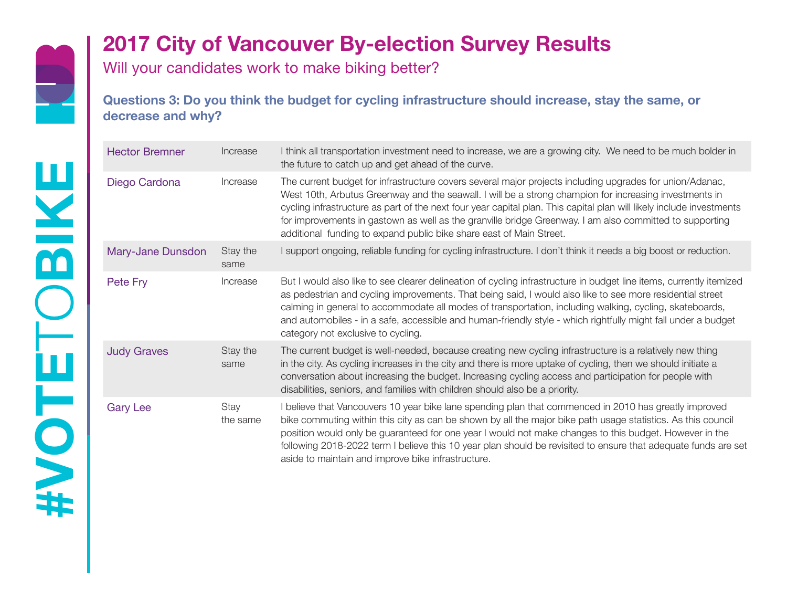

Will your candidates work to make biking better?

**Questions 3: Do you think the budget for cycling infrastructure should increase, stay the same, or decrease and why?**

| <b>Hector Bremner</b> | Increase         | I think all transportation investment need to increase, we are a growing city. We need to be much bolder in<br>the future to catch up and get ahead of the curve.                                                                                                                                                                                                                                                                                                                                                            |
|-----------------------|------------------|------------------------------------------------------------------------------------------------------------------------------------------------------------------------------------------------------------------------------------------------------------------------------------------------------------------------------------------------------------------------------------------------------------------------------------------------------------------------------------------------------------------------------|
| Diego Cardona         | Increase         | The current budget for infrastructure covers several major projects including upgrades for union/Adanac,<br>West 10th, Arbutus Greenway and the seawall. I will be a strong champion for increasing investments in<br>cycling infrastructure as part of the next four year capital plan. This capital plan will likely include investments<br>for improvements in gastown as well as the granville bridge Greenway. I am also committed to supporting<br>additional funding to expand public bike share east of Main Street. |
| Mary-Jane Dunsdon     | Stay the<br>same | I support ongoing, reliable funding for cycling infrastructure. I don't think it needs a big boost or reduction.                                                                                                                                                                                                                                                                                                                                                                                                             |
| Pete Fry              | Increase         | But I would also like to see clearer delineation of cycling infrastructure in budget line items, currently itemized<br>as pedestrian and cycling improvements. That being said, I would also like to see more residential street<br>calming in general to accommodate all modes of transportation, including walking, cycling, skateboards,<br>and automobiles - in a safe, accessible and human-friendly style - which rightfully might fall under a budget<br>category not exclusive to cycling.                           |
| <b>Judy Graves</b>    | Stay the<br>same | The current budget is well-needed, because creating new cycling infrastructure is a relatively new thing<br>in the city. As cycling increases in the city and there is more uptake of cycling, then we should initiate a<br>conversation about increasing the budget. Increasing cycling access and participation for people with<br>disabilities, seniors, and families with children should also be a priority.                                                                                                            |
| <b>Gary Lee</b>       | Stay<br>the same | I believe that Vancouvers 10 year bike lane spending plan that commenced in 2010 has greatly improved<br>bike commuting within this city as can be shown by all the major bike path usage statistics. As this council<br>position would only be guaranteed for one year I would not make changes to this budget. However in the<br>following 2018-2022 term I believe this 10 year plan should be revisited to ensure that adequate funds are set<br>aside to maintain and improve bike infrastructure.                      |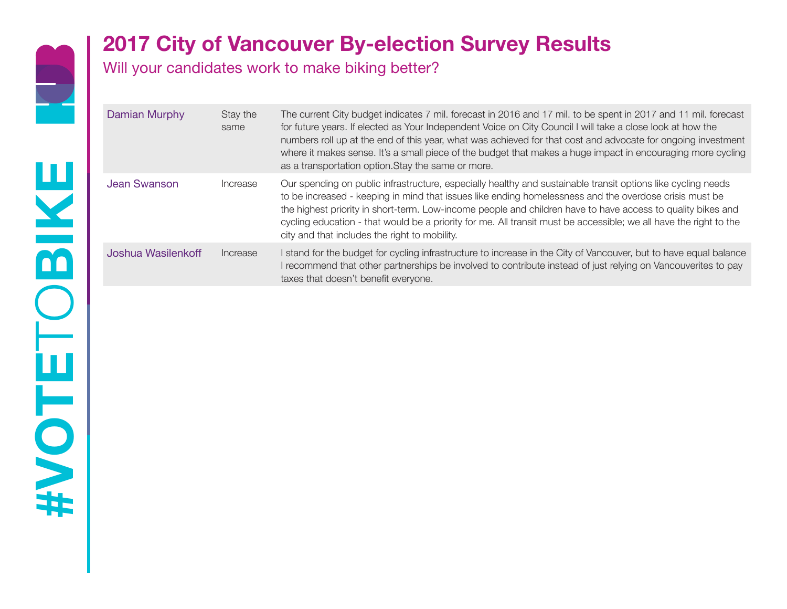

Will your candidates work to make biking better?

| Damian Murphy      | Stay the<br>same | The current City budget indicates 7 mil. forecast in 2016 and 17 mil. to be spent in 2017 and 11 mil. forecast<br>for future years. If elected as Your Independent Voice on City Council I will take a close look at how the<br>numbers roll up at the end of this year, what was achieved for that cost and advocate for ongoing investment<br>where it makes sense. It's a small piece of the budget that makes a huge impact in encouraging more cycling<br>as a transportation option. Stay the same or more. |
|--------------------|------------------|-------------------------------------------------------------------------------------------------------------------------------------------------------------------------------------------------------------------------------------------------------------------------------------------------------------------------------------------------------------------------------------------------------------------------------------------------------------------------------------------------------------------|
| Jean Swanson       | Increase         | Our spending on public infrastructure, especially healthy and sustainable transit options like cycling needs<br>to be increased - keeping in mind that issues like ending homelessness and the overdose crisis must be<br>the highest priority in short-term. Low-income people and children have to have access to quality bikes and<br>cycling education - that would be a priority for me. All transit must be accessible; we all have the right to the<br>city and that includes the right to mobility.       |
| Joshua Wasilenkoff | Increase         | I stand for the budget for cycling infrastructure to increase in the City of Vancouver, but to have equal balance<br>I recommend that other partnerships be involved to contribute instead of just relying on Vancouverites to pay<br>taxes that doesn't benefit everyone.                                                                                                                                                                                                                                        |